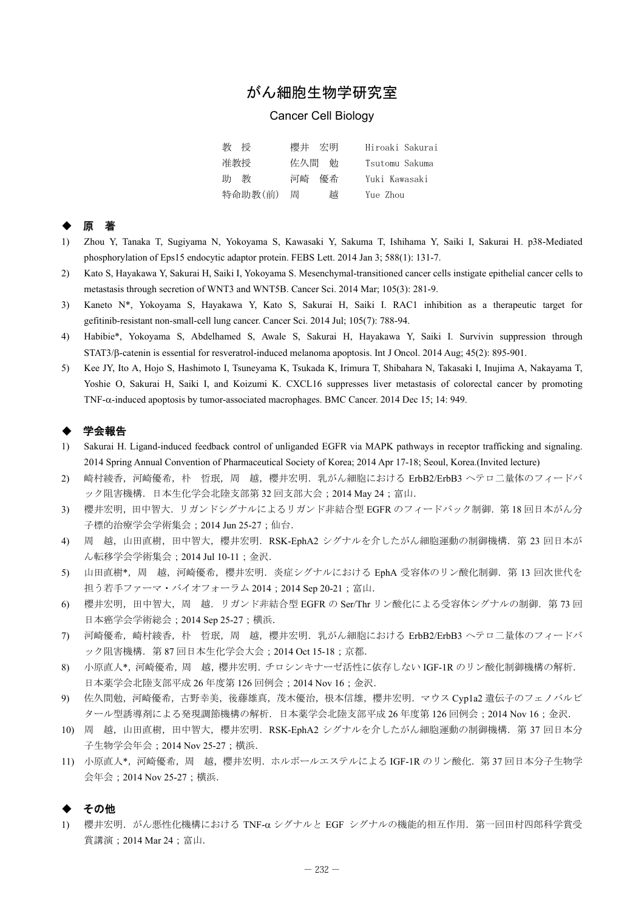# がん細胞生物学研究室

## Cancer Cell Biology

| 教授      | 櫻井 宏明    | Hiroaki Sakurai |
|---------|----------|-----------------|
| 准教授     | 佐久間 勉    | Tsutomu Sakuma  |
| 助<br>教  | 優希<br>河崎 | Yuki Kawasaki   |
| 特命助教(前) | 越<br>周   | Yue Zhou        |

### ◆ 原 著

- 1) Zhou Y, Tanaka T, Sugiyama N, Yokoyama S, Kawasaki Y, Sakuma T, Ishihama Y, Saiki I, Sakurai H. p38-Mediated phosphorylation of Eps15 endocytic adaptor protein. FEBS Lett. 2014 Jan 3; 588(1): 131-7.
- 2) Kato S, Hayakawa Y, Sakurai H, Saiki I, Yokoyama S. Mesenchymal-transitioned cancer cells instigate epithelial cancer cells to metastasis through secretion of WNT3 and WNT5B. Cancer Sci. 2014 Mar; 105(3): 281-9.
- 3) Kaneto N\*, Yokoyama S, Hayakawa Y, Kato S, Sakurai H, Saiki I. RAC1 inhibition as a therapeutic target for gefitinib-resistant non-small-cell lung cancer. Cancer Sci. 2014 Jul; 105(7): 788-94.
- 4) Habibie\*, Yokoyama S, Abdelhamed S, Awale S, Sakurai H, Hayakawa Y, Saiki I. Survivin suppression through STAT3/ $\beta$ -catenin is essential for resveratrol-induced melanoma apoptosis. Int J Oncol. 2014 Aug; 45(2): 895-901.
- 5) Kee JY, Ito A, Hojo S, Hashimoto I, Tsuneyama K, Tsukada K, Irimura T, Shibahara N, Takasaki I, Inujima A, Nakayama T, Yoshie O, Sakurai H, Saiki I, and Koizumi K. CXCL16 suppresses liver metastasis of colorectal cancer by promoting TNF- $\alpha$ -induced apoptosis by tumor-associated macrophages. BMC Cancer. 2014 Dec 15; 14: 949.

#### ◆ 学会報告

- 1) Sakurai H. Ligand-induced feedback control of unliganded EGFR via MAPK pathways in receptor trafficking and signaling. 2014 Spring Annual Convention of Pharmaceutical Society of Korea; 2014 Apr 17-18; Seoul, Korea.(Invited lecture)
- 2) 崎村綾香, 河崎優希, 朴 哲珉, 周 越, 櫻井宏明. 乳がん細胞における ErbB2/ErbB3 ヘテロ二量体のフィードバ ック阻害機構. 日本生化学会北陸支部第 32 回支部大会; 2014 May 24; 富山.
- 3) 櫻井宏明,田中智大. リガンドシグナルによるリガンド非結合型 EGFR のフィードバック制御. 第18回日本がん分 子標的治療学会学術集会;2014 Jun 25-27;仙台.
- 4) 周 越,山田直樹,田中智大,櫻井宏明. RSK-EphA2 シグナルを介したがん細胞運動の制御機構. 第 23 回日本が ん転移学会学術集会;2014 Jul 10-11;金沢.
- 5) 山田直樹\*, 周 越, 河崎優希, 櫻井宏明. 炎症シグナルにおける EphA 受容体のリン酸化制御. 第 13 回次世代を 担う若手ファーマ・バイオフォーラム 2014; 2014 Sep 20-21; 富山.
- 6) 櫻井宏明,田中智大,周 越.リガンド非結合型 EGFR の Ser/Thr リン酸化による受容体シグナルの制御.第 73 回 日本癌学会学術総会;2014 Sep 25-27;横浜.
- 7) 河崎優希,崎村綾香,朴 哲珉,周 越,櫻井宏明.乳がん細胞における ErbB2/ErbB3 ヘテロ二量体のフィードバ ック阻害機構. 第 87 回日本生化学会大会; 2014 Oct 15-18; 京都.
- 8) 小原直人\*,河崎優希,周 越,櫻井宏明.チロシンキナーゼ活性に依存しない IGF-1R のリン酸化制御機構の解析. 日本薬学会北陸支部平成 26 年度第 126 回例会;2014 Nov 16;金沢.
- 9) 佐久間勉,河崎優希,古野幸美,後藤雄真,茂木優治,根本信雄,櫻井宏明.マウス Cyp1a2 遺伝子のフェノバルビ タール型誘導剤による発現調節機構の解析.日本薬学会北陸支部平成 26 年度第 126 回例会;2014 Nov 16;金沢.
- 10) 周 越,山田直樹,田中智大,櫻井宏明. RSK-EphA2 シグナルを介したがん細胞運動の制御機構. 第 37 回日本分 子生物学会年会;2014 Nov 25-27;横浜.
- 11) 小原直人\*, 河崎優希, 周 越, 櫻井宏明. ホルボールエステルによる IGF-1R のリン酸化. 第37回日本分子生物学 会年会;2014 Nov 25-27;横浜.

#### ◆ その他

1) 櫻井宏明. がん悪性化機構における TNF-α シグナルと EGF シグナルの機能的相互作用. 第一回田村四郎科学賞受 賞講演;2014 Mar 24;富山.